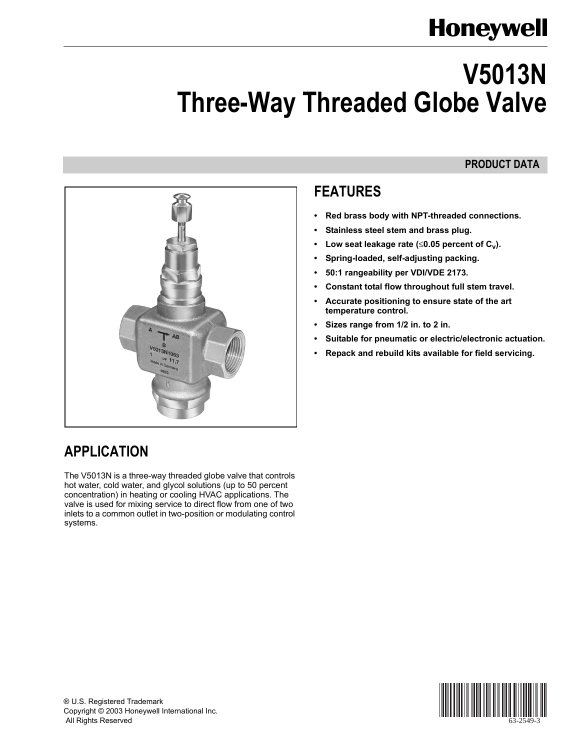# **Honeywell**

# **V5013N Three-Way Threaded Globe Valve**

### **PRODUCT DATA**



## **APPLICATION**

The V5013N is a three-way threaded globe valve that controls hot water, cold water, and glycol solutions (up to 50 percent concentration) in heating or cooling HVAC applications. The valve is used for mixing service to direct flow from one of two inlets to a common outlet in two-position or modulating control systems.

## **FEATURES**

- **ï Red brass body with NPT-threaded connections.**
- **ï Stainless steel stem and brass plug.**
- Low seat leakage rate ( $\leq 0.05$  percent of C<sub>v</sub>).
- **ï Spring-loaded, self-adjusting packing.**
- **ï 50:1 rangeability per VDI/VDE 2173.**
- Constant total flow throughout full stem travel.
- **ï Accurate positioning to ensure state of the art temperature control.**
- **ï Sizes range from 1/2 in. to 2 in.**
- **ï Suitable for pneumatic or electric/electronic actuation.**
- **ï Repack and rebuild kits available for field servicing.**

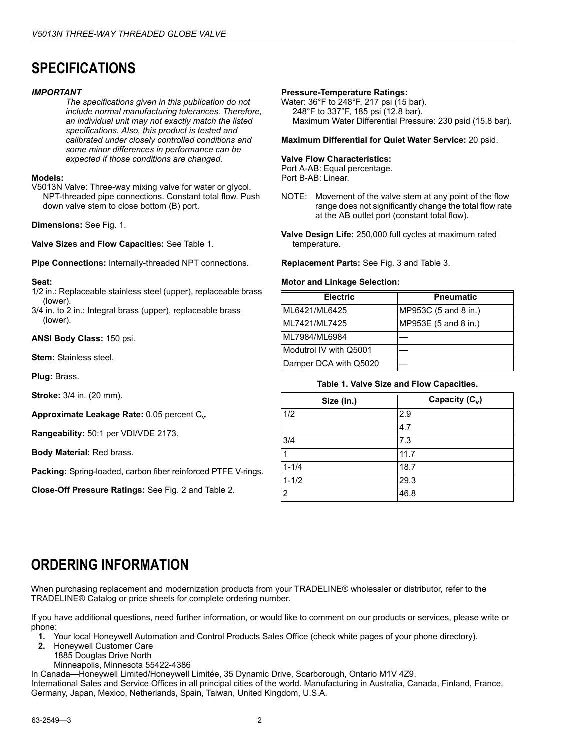## **SPECIFICATIONS**

#### *IMPORTANT*

*The specifications given in this publication do not include normal manufacturing tolerances. Therefore, an individual unit may not exactly match the listed specifications. Also, this product is tested and calibrated under closely controlled conditions and some minor differences in performance can be expected if those conditions are changed.*

#### **Models:**

V5013N Valve: Three-way mixing valve for water or glycol. NPT-threaded pipe connections. Constant total flow. Push down valve stem to close bottom (B) port.

**Dimensions:** See Fig. 1.

**Valve Sizes and Flow Capacities:** See Table 1.

**Pipe Connections:** Internally-threaded NPT connections.

#### **Seat:**

- 1/2 in.: Replaceable stainless steel (upper), replaceable brass (lower).
- 3/4 in. to 2 in.: Integral brass (upper), replaceable brass (lower).

**ANSI Body Class:** 150 psi.

**Stem:** Stainless steel.

**Plug:** Brass.

**Stroke:** 3/4 in. (20 mm).

**Approximate Leakage Rate: 0.05 percent C<sub>v</sub>.** 

**Rangeability:** 50:1 per VDI/VDE 2173.

**Body Material:** Red brass.

**Packing:** Spring-loaded, carbon fiber reinforced PTFE V-rings.

**Close-Off Pressure Ratings:** See Fig. 2 and Table 2.

#### **Pressure-Temperature Ratings:**

Water: 36°F to 248°F, 217 psi (15 bar). 248°F to 337°F, 185 psi (12.8 bar). Maximum Water Differential Pressure: 230 psid (15.8 bar).

**Maximum Differential for Quiet Water Service:** 20 psid.

#### **Valve Flow Characteristics:**

Port A-AB: Equal percentage. Port B-AB: Linear.

- NOTE: Movement of the valve stem at any point of the flow range does not significantly change the total flow rate at the AB outlet port (constant total flow).
- **Valve Design Life:** 250,000 full cycles at maximum rated temperature.

**Replacement Parts:** See Fig. 3 and Table 3.

#### **Motor and Linkage Selection:**

| <b>Electric</b>        | <b>Pneumatic</b>     |
|------------------------|----------------------|
| ML6421/ML6425          | MP953C (5 and 8 in.) |
| ML7421/ML7425          | MP953E (5 and 8 in.) |
| ML7984/ML6984          |                      |
| Modutrol IV with Q5001 |                      |
| Damper DCA with Q5020  |                      |

#### **Table 1. Valve Size and Flow Capacities.**

| Size (in.)     | Capacity $(C_v)$ |  |  |  |
|----------------|------------------|--|--|--|
| 1/2            | 2.9              |  |  |  |
|                | 4.7              |  |  |  |
| 3/4            | 7.3              |  |  |  |
|                | 11.7             |  |  |  |
| $1 - 1/4$      | 18.7             |  |  |  |
| $1 - 1/2$      | 29.3             |  |  |  |
| $\overline{2}$ | 46.8             |  |  |  |

### **ORDERING INFORMATION**

When purchasing replacement and modernization products from your TRADELINE® wholesaler or distributor, refer to the TRADELINEÆ Catalog or price sheets for complete ordering number.

If you have additional questions, need further information, or would like to comment on our products or services, please write or phone:

- **1.** Your local Honeywell Automation and Control Products Sales Office (check white pages of your phone directory).
- **2.** Honeywell Customer Care
	- 1885 Douglas Drive North
	- Minneapolis, Minnesota 55422-4386

In Canada—Honeywell Limited/Honeywell Limitée, 35 Dynamic Drive, Scarborough, Ontario M1V 4Z9.

International Sales and Service Offices in all principal cities of the world. Manufacturing in Australia, Canada, Finland, France, Germany, Japan, Mexico, Netherlands, Spain, Taiwan, United Kingdom, U.S.A.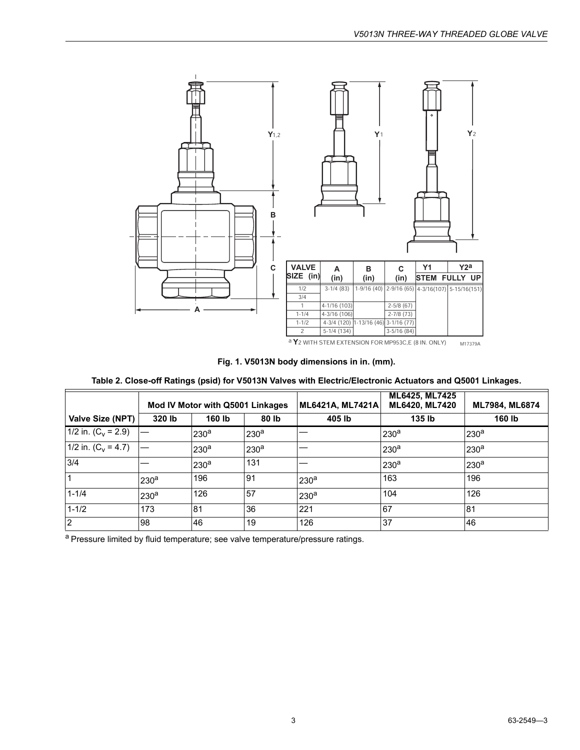

a Y<sub>2</sub> WITH STEM EXTENSION FOR MP953C, E (8 IN. ONLY) M17379A

#### **Fig. 1. V5013N body dimensions in in. (mm).**

#### **Table 2. Close-off Ratings (psid) for V5013N Valves with Electric/Electronic Actuators and Q5001 Linkages.**

|                       | Mod IV Motor with Q5001 Linkages |                  |                  | ML6421A, ML7421A | <b>ML6425, ML7425</b><br>ML6420, ML7420 | ML7984, ML6874   |
|-----------------------|----------------------------------|------------------|------------------|------------------|-----------------------------------------|------------------|
| Valve Size (NPT)      | 320 lb                           | 160 lb           | 80 lb            | 405 lb           | 135 lb                                  | 160 lb           |
| 1/2 in. $(C_v = 2.9)$ |                                  | 230 <sup>a</sup> | 230 <sup>a</sup> |                  | 230 <sup>a</sup>                        | 230 <sup>a</sup> |
| 1/2 in. $(C_v = 4.7)$ |                                  | 230 <sup>a</sup> | 230 <sup>a</sup> |                  | 230 <sup>a</sup>                        | 230 <sup>a</sup> |
| 3/4                   |                                  | 230 <sup>a</sup> | 131              |                  | 230 <sup>a</sup>                        | 230 <sup>a</sup> |
| $\mathbf 1$           | 230 <sup>a</sup>                 | 196              | 91               | 230 <sup>a</sup> | 163                                     | 196              |
| $1 - 1/4$             | 230 <sup>a</sup>                 | 126              | 57               | 230 <sup>a</sup> | 104                                     | 126              |
| $1 - 1/2$             | 173                              | 81               | 36               | 221              | 67                                      | 81               |
| <sup>2</sup>          | 98                               | 46               | 19               | 126              | 37                                      | 46               |

a Pressure limited by fluid temperature; see valve temperature/pressure ratings.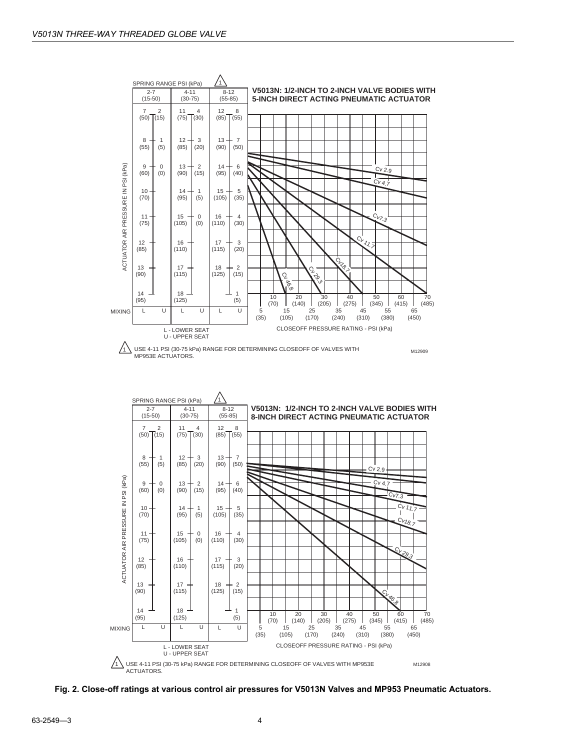



**Fig. 2. Close-off ratings at various control air pressures for V5013N Valves and MP953 Pneumatic Actuators.**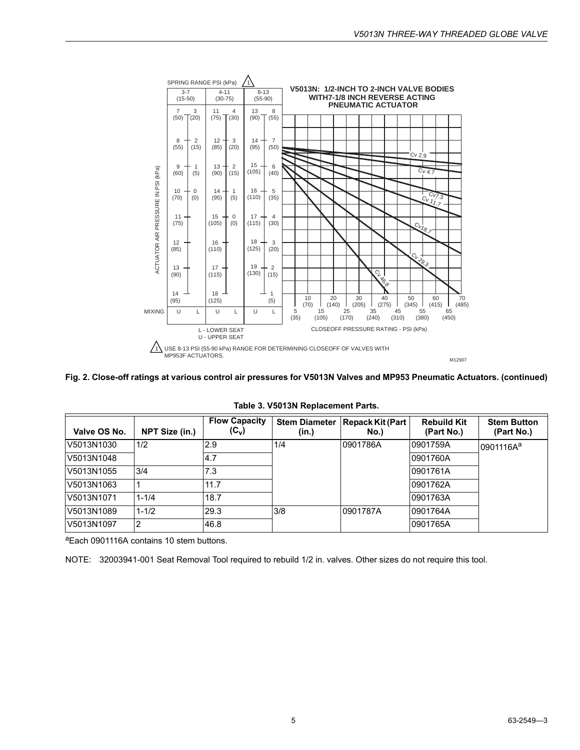

**Fig. 2. Close-off ratings at various control air pressures for V5013N Valves and MP953 Pneumatic Actuators. (continued)**

| Valve OS No. | NPT Size (in.) | <b>Flow Capacity</b><br>$(C_v)$ | <b>Stem Diameter</b><br>(in.) | Repack Kit (Part)<br>No.) | <b>Rebuild Kit</b><br>(Part No.) | <b>Stem Button</b><br>(Part No.) |
|--------------|----------------|---------------------------------|-------------------------------|---------------------------|----------------------------------|----------------------------------|
| V5013N1030   | 1/2            | 2.9                             | 1/4                           | 10901786A                 | l0901759A                        | 0901116A <sup>a</sup>            |
| V5013N1048   |                | 4.7                             |                               |                           | 10901760A                        |                                  |
| V5013N1055   | 3/4            | 7.3                             |                               |                           | 0901761A                         |                                  |
| V5013N1063   |                | 11.7                            |                               |                           | 0901762A                         |                                  |
| V5013N1071   | $1 - 1/4$      | 18.7                            |                               |                           | 0901763A                         |                                  |
| V5013N1089   | $1 - 1/2$      | 29.3                            | 3/8                           | 0901787A                  | 0901764A                         |                                  |
| V5013N1097   | 2              | 46.8                            |                               |                           | l0901765A                        |                                  |

**Table 3. V5013N Replacement Parts.**

aEach 0901116A contains 10 stem buttons.

NOTE: 32003941-001 Seat Removal Tool required to rebuild 1/2 in. valves. Other sizes do not require this tool.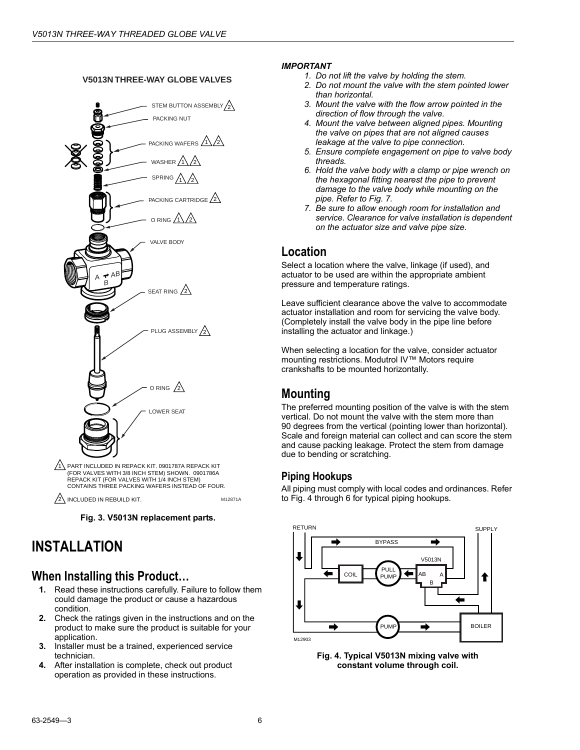#### **V5013N THREE-WAY GLOBE VALVES**



2\INCLUDED IN REBUILD KIT. THE MILL ON M12871A

**Fig. 3. V5013N replacement parts.**

### **INSTALLATION**

#### **When Installing this Product...**

- **1.** Read these instructions carefully. Failure to follow them could damage the product or cause a hazardous condition.
- **2.** Check the ratings given in the instructions and on the product to make sure the product is suitable for your application.
- **3.** Installer must be a trained, experienced service technician.
- **4.** After installation is complete, check out product operation as provided in these instructions.

#### *IMPORTANT*

- *1. Do not lift the valve by holding the stem.*
- *2. Do not mount the valve with the stem pointed lower than horizontal.*
- *3. Mount the valve with the flow arrow pointed in the direction of flow through the valve.*
- *4. Mount the valve between aligned pipes. Mounting the valve on pipes that are not aligned causes leakage at the valve to pipe connection.*
- *5. Ensure complete engagement on pipe to valve body threads.*
- *6. Hold the valve body with a clamp or pipe wrench on the hexagonal fitting nearest the pipe to prevent damage to the valve body while mounting on the pipe. Refer to Fig. 7.*
- *7. Be sure to allow enough room for installation and service. Clearance for valve installation is dependent on the actuator size and valve pipe size.*

#### **Location**

Select a location where the valve, linkage (if used), and actuator to be used are within the appropriate ambient pressure and temperature ratings.

Leave sufficient clearance above the valve to accommodate actuator installation and room for servicing the valve body. (Completely install the valve body in the pipe line before installing the actuator and linkage.)

When selecting a location for the valve, consider actuator mounting restrictions. Modutrol IV<sup>™</sup> Motors require crankshafts to be mounted horizontally.

### **Mounting**

The preferred mounting position of the valve is with the stem vertical. Do not mount the valve with the stem more than 90 degrees from the vertical (pointing lower than horizontal). Scale and foreign material can collect and can score the stem and cause packing leakage. Protect the stem from damage due to bending or scratching.

#### **Piping Hookups**

All piping must comply with local codes and ordinances. Refer to Fig. 4 through 6 for typical piping hookups.



**Fig. 4. Typical V5013N mixing valve with constant volume through coil.**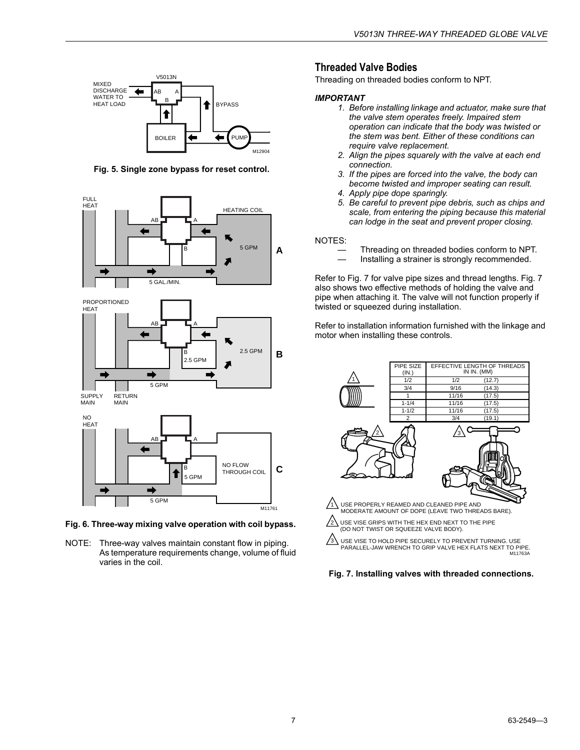

**Fig. 5. Single zone bypass for reset control.**



**Fig. 6. Three-way mixing valve operation with coil bypass.** 

NOTE: Three-way valves maintain constant flow in piping. As temperature requirements change, volume of fluid varies in the coil.

#### **Threaded Valve Bodies**

Threading on threaded bodies conform to NPT.

#### *IMPORTANT*

- *1. Before installing linkage and actuator, make sure that the valve stem operates freely. Impaired stem operation can indicate that the body was twisted or the stem was bent. Either of these conditions can require valve replacement.*
- *2. Align the pipes squarely with the valve at each end connection.*
- *3. If the pipes are forced into the valve, the body can become twisted and improper seating can result.*
- *4. Apply pipe dope sparingly.*
- *5. Be careful to prevent pipe debris, such as chips and scale, from entering the piping because this material can lodge in the seat and prevent proper closing.*

NOTES:

- Threading on threaded bodies conform to NPT.
- Installing a strainer is strongly recommended.

Refer to Fig. 7 for valve pipe sizes and thread lengths. Fig. 7 also shows two effective methods of holding the valve and pipe when attaching it. The valve will not function properly if twisted or squeezed during installation.

Refer to installation information furnished with the linkage and motor when installing these controls.



**Fig. 7. Installing valves with threaded connections.**